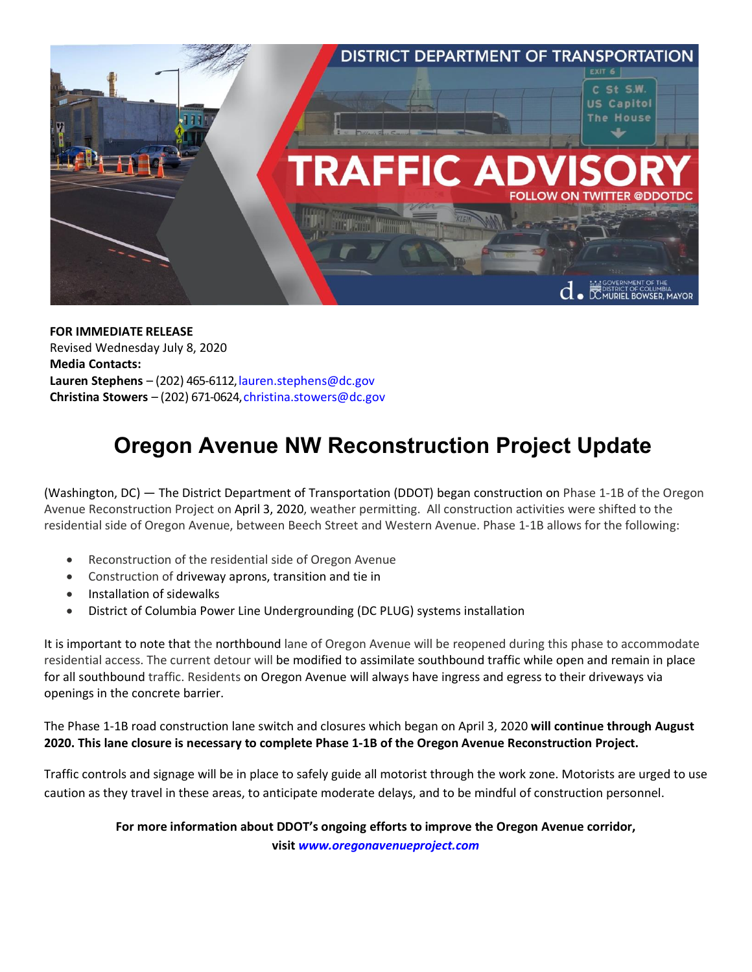

**FOR IMMEDIATE RELEASE** Revised Wednesday July 8, 2020 **Media Contacts:** Lauren Stephens – (202) 465-6112, lauren.stephens@dc.gov **Christina Stowers** – (202) 671-0624[,christina.stowers@dc.gov](mailto:lauren.stephens@dc.gov)

## **Oregon Avenue NW Reconstruction Project Update**

(Washington, DC) — The District Department of Transportation (DDOT) began construction on Phase 1-1B of the Oregon Avenue Reconstruction Project on April 3, 2020, weather permitting. All construction activities were shifted to the residential side of Oregon Avenue, between Beech Street and Western Avenue. Phase 1-1B allows for the following:

- Reconstruction of the residential side of Oregon Avenue
- Construction of driveway aprons, transition and tie in
- Installation of sidewalks
- District of Columbia Power Line Undergrounding (DC PLUG) systems installation

It is important to note that the northbound lane of Oregon Avenue will be reopened during this phase to accommodate residential access. The current detour will be modified to assimilate southbound traffic while open and remain in place for all southbound traffic. Residents on Oregon Avenue will always have ingress and egress to their driveways via openings in the concrete barrier.

The Phase 1-1B road construction lane switch and closures which began on April 3, 2020 **will continue through August 2020. This lane closure is necessary to complete Phase 1-1B of the Oregon Avenue Reconstruction Project.**

Traffic controls and signage will be in place to safely guide all motorist through the work zone. Motorists are urged to use caution as they travel in these areas, to anticipate moderate delays, and to be mindful of construction personnel.

**For more information about DDOT's ongoing efforts to improve the Oregon Avenue corridor,**

**visit** *[www.oregonavenueproject.com](http://www.oregonavenueproject.com/)*